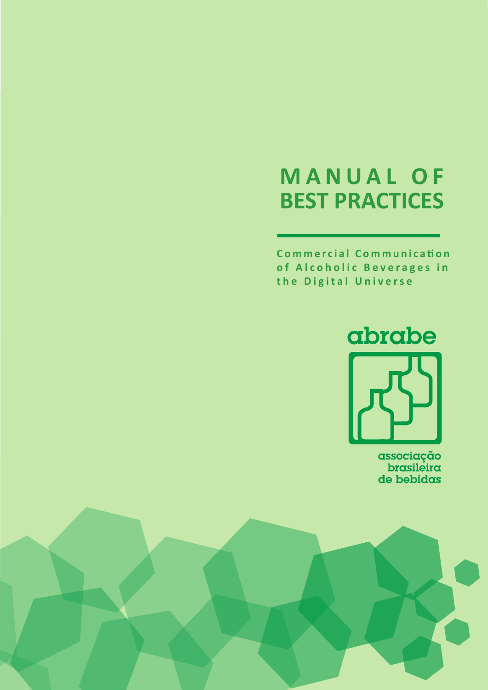# **MANUAL OF BEST PRACTICES**

**Commercial Communication of Alcoholic Beverages in the Digital Universe** 



associação<br>brasileira de bebidas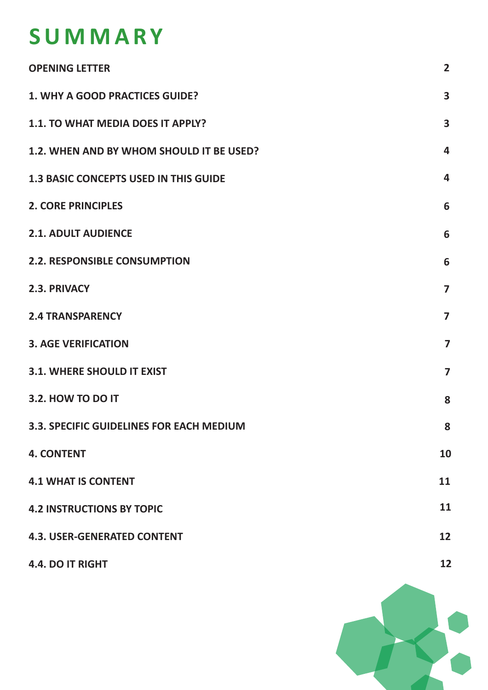# **SUMMARY**

| <b>OPENING LETTER</b>                        | $\overline{2}$          |
|----------------------------------------------|-------------------------|
| 1. WHY A GOOD PRACTICES GUIDE?               | 3                       |
| 1.1. TO WHAT MEDIA DOES IT APPLY?            | $\overline{\mathbf{3}}$ |
| 1.2. WHEN AND BY WHOM SHOULD IT BE USED?     | 4                       |
| <b>1.3 BASIC CONCEPTS USED IN THIS GUIDE</b> | $\overline{\mathbf{4}}$ |
| <b>2. CORE PRINCIPLES</b>                    | 6                       |
| <b>2.1. ADULT AUDIENCE</b>                   | 6                       |
| <b>2.2. RESPONSIBLE CONSUMPTION</b>          | 6                       |
| 2.3. PRIVACY                                 | $\overline{7}$          |
| <b>2.4 TRANSPARENCY</b>                      | $\overline{7}$          |
| <b>3. AGE VERIFICATION</b>                   | $\overline{\mathbf{z}}$ |
| <b>3.1. WHERE SHOULD IT EXIST</b>            | $\overline{7}$          |
| 3.2. HOW TO DO IT                            | 8                       |
| 3.3. SPECIFIC GUIDELINES FOR EACH MEDIUM     | 8                       |
| <b>4. CONTENT</b>                            | 10                      |
| <b>4.1 WHAT IS CONTENT</b>                   | 11                      |
| <b>4.2 INSTRUCTIONS BY TOPIC</b>             | 11                      |
| <b>4.3. USER-GENERATED CONTENT</b>           | 12                      |
| 4.4. DO IT RIGHT                             | 12                      |

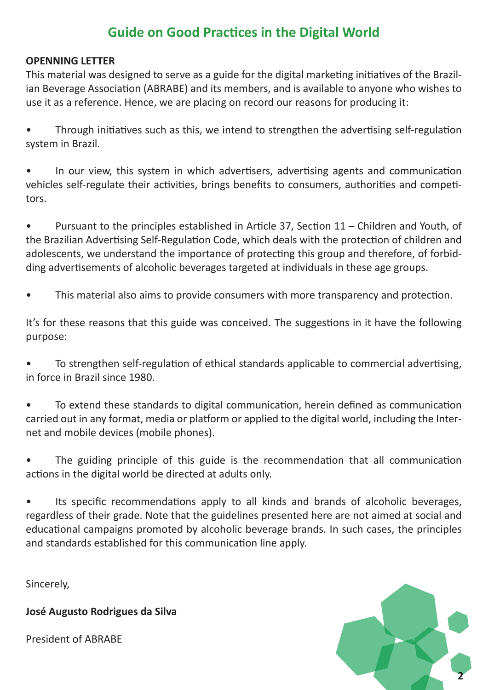# **Guide on Good Practices in the Digital World**

### **OPENNING LETTER**

This material was designed to serve as a guide for the digital marketing initiatives of the Brazilian Beverage Association (ABRABE) and its members, and is available to anyone who wishes to use it as a reference. Hence, we are placing on record our reasons for producing it:

• Through initiatives such as this, we intend to strengthen the advertising self-regulation system in Brazil.

In our view, this system in which advertisers, advertising agents and communication vehicles self-regulate their activities, brings benefits to consumers, authorities and competitors.

• Pursuant to the principles established in Article 37, Section 11 – Children and Youth, of the Brazilian Advertising Self-Regulation Code, which deals with the protection of children and adolescents, we understand the importance of protecting this group and therefore, of forbidding advertisements of alcoholic beverages targeted at individuals in these age groups.

This material also aims to provide consumers with more transparency and protection.

It's for these reasons that this guide was conceived. The suggestions in it have the following purpose:

• To strengthen self-regulation of ethical standards applicable to commercial advertising, in force in Brazil since 1980.

• To extend these standards to digital communication, herein defined as communication carried out in any format, media or platform or applied to the digital world, including the Internet and mobile devices (mobile phones).

The guiding principle of this guide is the recommendation that all communication actions in the digital world be directed at adults only.

• Its specific recommendations apply to all kinds and brands of alcoholic beverages, regardless of their grade. Note that the guidelines presented here are not aimed at social and educational campaigns promoted by alcoholic beverage brands. In such cases, the principles and standards established for this communication line apply.

Sincerely,

**José Augusto Rodrigues da Silva**

President of ABRABE

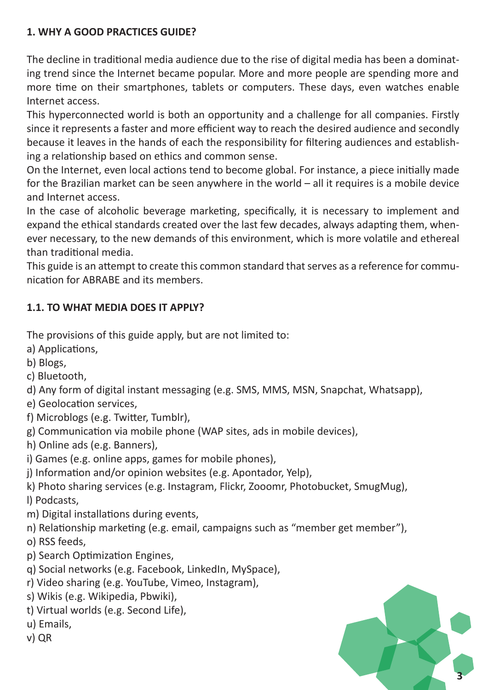# **1. WHY A GOOD PRACTICES GUIDE?**

The decline in traditional media audience due to the rise of digital media has been a dominating trend since the Internet became popular. More and more people are spending more and more time on their smartphones, tablets or computers. These days, even watches enable Internet access.

This hyperconnected world is both an opportunity and a challenge for all companies. Firstly since it represents a faster and more efficient way to reach the desired audience and secondly because it leaves in the hands of each the responsibility for filtering audiences and establishing a relationship based on ethics and common sense.

On the Internet, even local actions tend to become global. For instance, a piece initially made for the Brazilian market can be seen anywhere in the world – all it requires is a mobile device and Internet access.

In the case of alcoholic beverage marketing, specifically, it is necessary to implement and expand the ethical standards created over the last few decades, always adapting them, whenever necessary, to the new demands of this environment, which is more volatile and ethereal than traditional media.

This guide is an attempt to create this common standard that serves as a reference for communication for ABRABE and its members.

# **1.1. TO WHAT MEDIA DOES IT APPLY?**

The provisions of this guide apply, but are not limited to:

- a) Applications,
- b) Blogs,
- c) Bluetooth,
- d) Any form of digital instant messaging (e.g. SMS, MMS, MSN, Snapchat, Whatsapp),
- e) Geolocation services,
- f) Microblogs (e.g. Twitter, Tumblr),
- g) Communication via mobile phone (WAP sites, ads in mobile devices),
- h) Online ads (e.g. Banners),
- i) Games (e.g. online apps, games for mobile phones),
- j) Information and/or opinion websites (e.g. Apontador, Yelp),
- k) Photo sharing services (e.g. Instagram, Flickr, Zooomr, Photobucket, SmugMug),
- l) Podcasts,
- m) Digital installations during events,
- n) Relationship marketing (e.g. email, campaigns such as "member get member"),

o) RSS feeds,

- p) Search Optimization Engines,
- q) Social networks (e.g. Facebook, LinkedIn, MySpace),
- r) Video sharing (e.g. YouTube, Vimeo, Instagram),
- s) Wikis (e.g. Wikipedia, Pbwiki),
- t) Virtual worlds (e.g. Second Life),
- u) Emails,
- v) QR

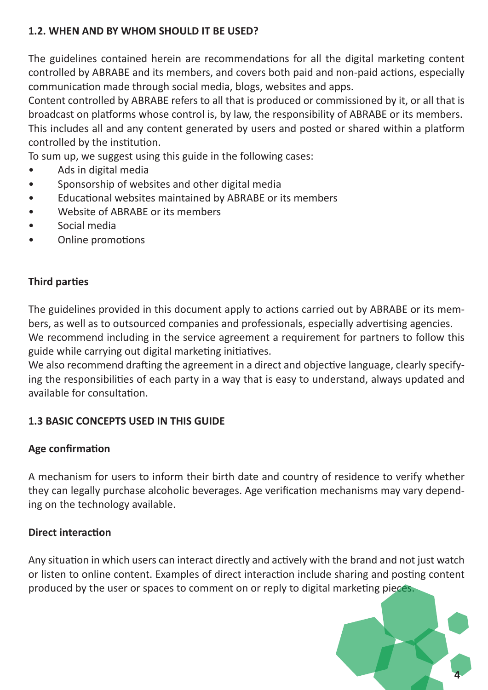# **1.2. WHEN AND BY WHOM SHOULD IT BE USED?**

The guidelines contained herein are recommendations for all the digital marketing content controlled by ABRABE and its members, and covers both paid and non-paid actions, especially communication made through social media, blogs, websites and apps.

Content controlled by ABRABE refers to all that is produced or commissioned by it, or all that is broadcast on platforms whose control is, by law, the responsibility of ABRABE or its members. This includes all and any content generated by users and posted or shared within a platform controlled by the institution.

To sum up, we suggest using this guide in the following cases:

- Ads in digital media
- Sponsorship of websites and other digital media
- Educational websites maintained by ABRABE or its members
- Website of ABRABE or its members
- Social media
- Online promotions

#### **Third parties**

The guidelines provided in this document apply to actions carried out by ABRABE or its members, as well as to outsourced companies and professionals, especially advertising agencies. We recommend including in the service agreement a requirement for partners to follow this guide while carrying out digital marketing initiatives.

We also recommend drafting the agreement in a direct and objective language, clearly specifying the responsibilities of each party in a way that is easy to understand, always updated and available for consultation.

# **1.3 BASIC CONCEPTS USED IN THIS GUIDE**

#### **Age confirmation**

A mechanism for users to inform their birth date and country of residence to verify whether they can legally purchase alcoholic beverages. Age verification mechanisms may vary depending on the technology available.

#### **Direct interaction**

Any situation in which users can interact directly and actively with the brand and not just watch or listen to online content. Examples of direct interaction include sharing and posting content produced by the user or spaces to comment on or reply to digital marketing pieces.

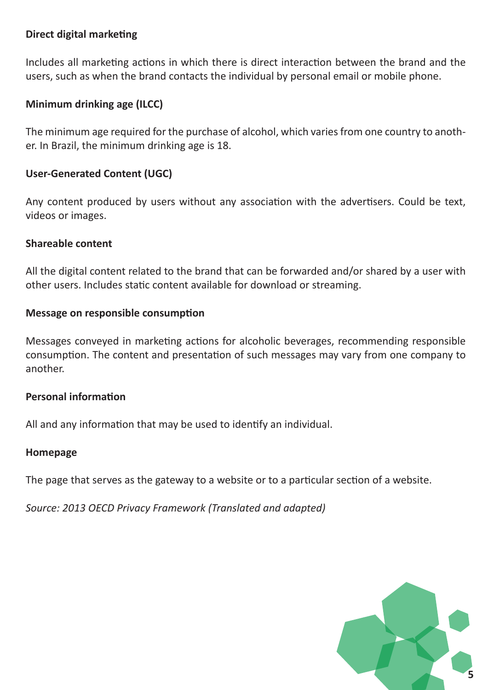#### **Direct digital marketing**

Includes all marketing actions in which there is direct interaction between the brand and the users, such as when the brand contacts the individual by personal email or mobile phone.

# **Minimum drinking age (ILCC)**

The minimum age required for the purchase of alcohol, which varies from one country to another. In Brazil, the minimum drinking age is 18.

# **User-Generated Content (UGC)**

Any content produced by users without any association with the advertisers. Could be text, videos or images.

#### **Shareable content**

All the digital content related to the brand that can be forwarded and/or shared by a user with other users. Includes static content available for download or streaming.

#### **Message on responsible consumption**

Messages conveyed in marketing actions for alcoholic beverages, recommending responsible consumption. The content and presentation of such messages may vary from one company to another.

#### **Personal information**

All and any information that may be used to identify an individual.

#### **Homepage**

The page that serves as the gateway to a website or to a particular section of a website.

*Source: 2013 OECD Privacy Framework (Translated and adapted)*

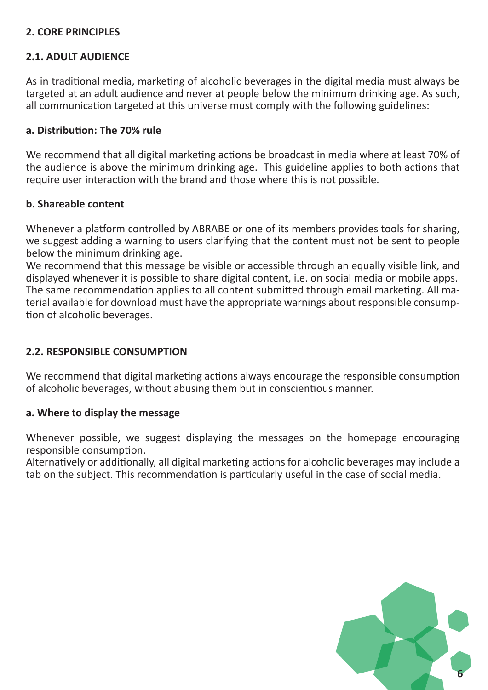#### **2. CORE PRINCIPLES**

#### **2.1. ADULT AUDIENCE**

As in traditional media, marketing of alcoholic beverages in the digital media must always be targeted at an adult audience and never at people below the minimum drinking age. As such, all communication targeted at this universe must comply with the following guidelines:

#### **a. Distribution: The 70% rule**

We recommend that all digital marketing actions be broadcast in media where at least 70% of the audience is above the minimum drinking age. This guideline applies to both actions that require user interaction with the brand and those where this is not possible.

#### **b. Shareable content**

Whenever a platform controlled by ABRABE or one of its members provides tools for sharing, we suggest adding a warning to users clarifying that the content must not be sent to people below the minimum drinking age.

We recommend that this message be visible or accessible through an equally visible link, and displayed whenever it is possible to share digital content, i.e. on social media or mobile apps. The same recommendation applies to all content submitted through email marketing. All material available for download must have the appropriate warnings about responsible consumption of alcoholic beverages.

#### **2.2. RESPONSIBLE CONSUMPTION**

We recommend that digital marketing actions always encourage the responsible consumption of alcoholic beverages, without abusing them but in conscientious manner.

#### **a. Where to display the message**

Whenever possible, we suggest displaying the messages on the homepage encouraging responsible consumption.

Alternatively or additionally, all digital marketing actions for alcoholic beverages may include a tab on the subject. This recommendation is particularly useful in the case of social media.

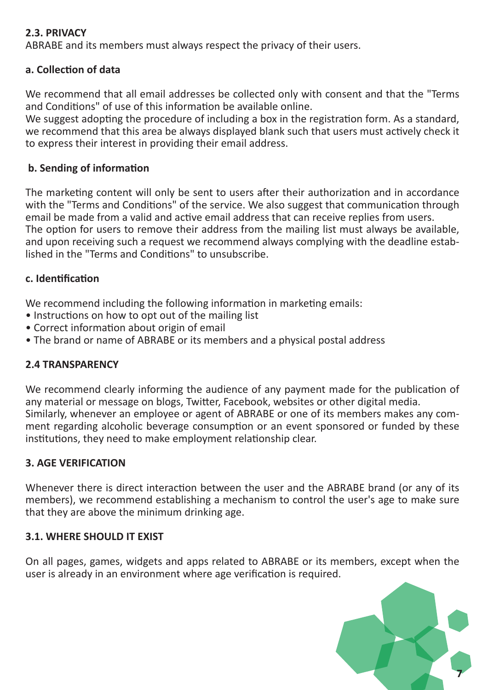#### **2.3. PRIVACY**

ABRABE and its members must always respect the privacy of their users.

#### **a. Collection of data**

We recommend that all email addresses be collected only with consent and that the "Terms and Conditions" of use of this information be available online.

We suggest adopting the procedure of including a box in the registration form. As a standard, we recommend that this area be always displayed blank such that users must actively check it to express their interest in providing their email address.

#### **b. Sending of information**

The marketing content will only be sent to users after their authorization and in accordance with the "Terms and Conditions" of the service. We also suggest that communication through email be made from a valid and active email address that can receive replies from users. The option for users to remove their address from the mailing list must always be available, and upon receiving such a request we recommend always complying with the deadline established in the "Terms and Conditions" to unsubscribe.

#### **c. Identification**

We recommend including the following information in marketing emails:

- Instructions on how to opt out of the mailing list
- Correct information about origin of email
- The brand or name of ABRABE or its members and a physical postal address

#### **2.4 TRANSPARENCY**

We recommend clearly informing the audience of any payment made for the publication of any material or message on blogs, Twitter, Facebook, websites or other digital media. Similarly, whenever an employee or agent of ABRABE or one of its members makes any comment regarding alcoholic beverage consumption or an event sponsored or funded by these institutions, they need to make employment relationship clear.

#### **3. AGE VERIFICATION**

Whenever there is direct interaction between the user and the ABRABE brand (or any of its members), we recommend establishing a mechanism to control the user's age to make sure that they are above the minimum drinking age.

#### **3.1. WHERE SHOULD IT EXIST**

On all pages, games, widgets and apps related to ABRABE or its members, except when the user is already in an environment where age verification is required.

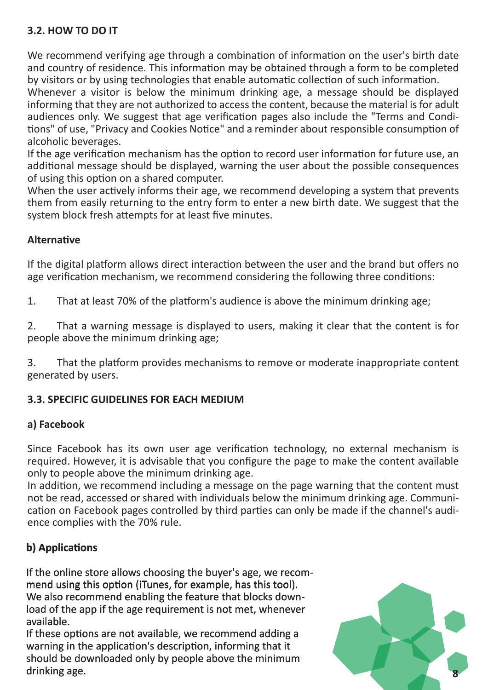# **3.2. HOW TO DO IT**

We recommend verifying age through a combination of information on the user's birth date and country of residence. This information may be obtained through a form to be completed by visitors or by using technologies that enable automatic collection of such information.

Whenever a visitor is below the minimum drinking age, a message should be displayed informing that they are not authorized to access the content, because the material is for adult audiences only. We suggest that age verification pages also include the "Terms and Conditions" of use, "Privacy and Cookies Notice" and a reminder about responsible consumption of alcoholic beverages.

If the age verification mechanism has the option to record user information for future use, an additional message should be displayed, warning the user about the possible consequences of using this option on a shared computer.

When the user actively informs their age, we recommend developing a system that prevents them from easily returning to the entry form to enter a new birth date. We suggest that the system block fresh attempts for at least five minutes.

#### **Alternative**

If the digital platform allows direct interaction between the user and the brand but offers no age verification mechanism, we recommend considering the following three conditions:

1. That at least 70% of the platform's audience is above the minimum drinking age;

2. That a warning message is displayed to users, making it clear that the content is for people above the minimum drinking age;

3. That the platform provides mechanisms to remove or moderate inappropriate content generated by users.

# **3.3. SPECIFIC GUIDELINES FOR EACH MEDIUM**

#### **a) Facebook**

Since Facebook has its own user age verification technology, no external mechanism is required. However, it is advisable that you configure the page to make the content available only to people above the minimum drinking age.

In addition, we recommend including a message on the page warning that the content must not be read, accessed or shared with individuals below the minimum drinking age. Communication on Facebook pages controlled by third parties can only be made if the channel's audience complies with the 70% rule.

# **b) Applications**

If the online store allows choosing the buyer's age, we recommend using this option (iTunes, for example, has this tool). We also recommend enabling the feature that blocks download of the app if the age requirement is not met, whenever available.

If these options are not available, we recommend adding a warning in the application's description, informing that it should be downloaded only by people above the minimum drinking age.

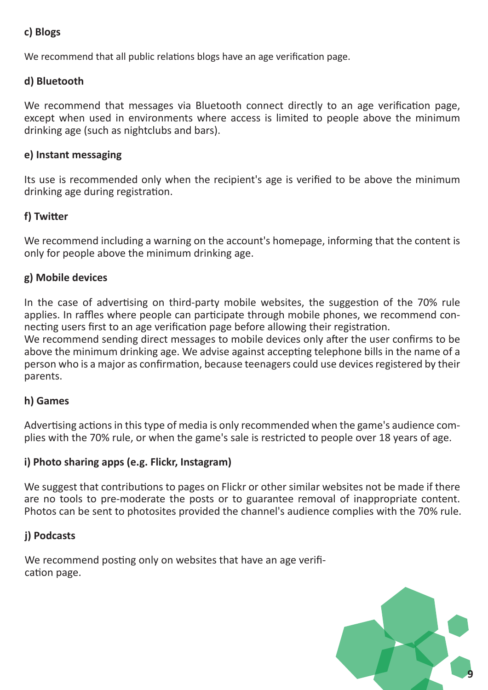# **c) Blogs**

We recommend that all public relations blogs have an age verification page.

### **d) Bluetooth**

We recommend that messages via Bluetooth connect directly to an age verification page, except when used in environments where access is limited to people above the minimum drinking age (such as nightclubs and bars).

#### **e) Instant messaging**

Its use is recommended only when the recipient's age is verified to be above the minimum drinking age during registration.

#### **f) Twitter**

We recommend including a warning on the account's homepage, informing that the content is only for people above the minimum drinking age.

#### **g) Mobile devices**

In the case of advertising on third-party mobile websites, the suggestion of the 70% rule applies. In raffles where people can participate through mobile phones, we recommend connecting users first to an age verification page before allowing their registration.

We recommend sending direct messages to mobile devices only after the user confirms to be above the minimum drinking age. We advise against accepting telephone bills in the name of a person who is a major as confirmation, because teenagers could use devices registered by their parents.

#### **h) Games**

Advertising actions in this type of media is only recommended when the game's audience complies with the 70% rule, or when the game's sale is restricted to people over 18 years of age.

# **i) Photo sharing apps (e.g. Flickr, Instagram)**

We suggest that contributions to pages on Flickr or other similar websites not be made if there are no tools to pre-moderate the posts or to guarantee removal of inappropriate content. Photos can be sent to photosites provided the channel's audience complies with the 70% rule.

# **j) Podcasts**

We recommend posting only on websites that have an age verification page.

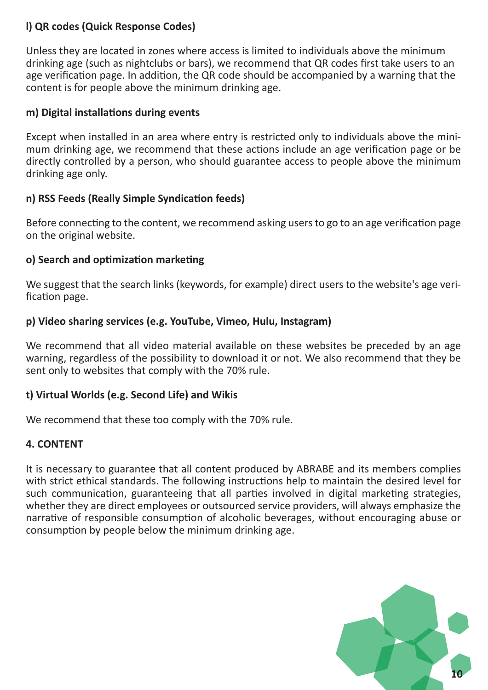#### **l) QR codes (Quick Response Codes)**

Unless they are located in zones where access is limited to individuals above the minimum drinking age (such as nightclubs or bars), we recommend that QR codes first take users to an age verification page. In addition, the QR code should be accompanied by a warning that the content is for people above the minimum drinking age.

#### **m) Digital installations during events**

Except when installed in an area where entry is restricted only to individuals above the minimum drinking age, we recommend that these actions include an age verification page or be directly controlled by a person, who should guarantee access to people above the minimum drinking age only.

# **n) RSS Feeds (Really Simple Syndication feeds)**

Before connecting to the content, we recommend asking users to go to an age verification page on the original website.

#### **o) Search and optimization marketing**

We suggest that the search links (keywords, for example) direct users to the website's age verification page.

#### **p) Video sharing services (e.g. YouTube, Vimeo, Hulu, Instagram)**

We recommend that all video material available on these websites be preceded by an age warning, regardless of the possibility to download it or not. We also recommend that they be sent only to websites that comply with the 70% rule.

# **t) Virtual Worlds (e.g. Second Life) and Wikis**

We recommend that these too comply with the 70% rule.

# **4. CONTENT**

It is necessary to guarantee that all content produced by ABRABE and its members complies with strict ethical standards. The following instructions help to maintain the desired level for such communication, guaranteeing that all parties involved in digital marketing strategies, whether they are direct employees or outsourced service providers, will always emphasize the narrative of responsible consumption of alcoholic beverages, without encouraging abuse or consumption by people below the minimum drinking age.

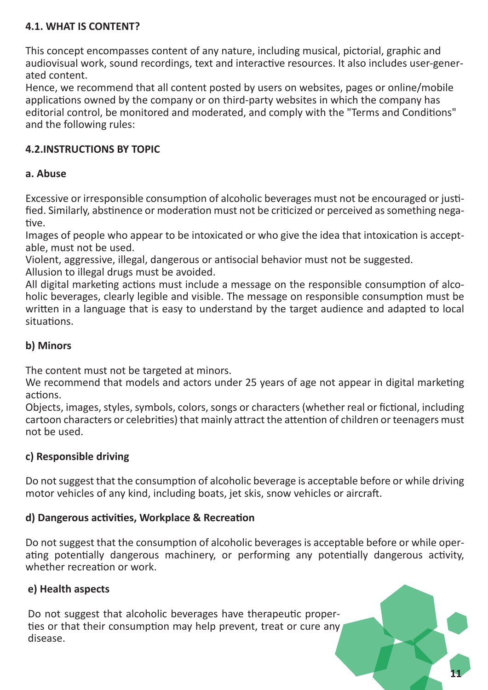# **4.1. WHAT IS CONTENT?**

This concept encompasses content of any nature, including musical, pictorial, graphic and audiovisual work, sound recordings, text and interactive resources. It also includes user-generated content.

Hence, we recommend that all content posted by users on websites, pages or online/mobile applications owned by the company or on third-party websites in which the company has editorial control, be monitored and moderated, and comply with the "Terms and Conditions" and the following rules:

# **4.2.INSTRUCTIONS BY TOPIC**

# **a. Abuse**

Excessive or irresponsible consumption of alcoholic beverages must not be encouraged or justified. Similarly, abstinence or moderation must not be criticized or perceived as something negative.

Images of people who appear to be intoxicated or who give the idea that intoxication is acceptable, must not be used.

Violent, aggressive, illegal, dangerous or antisocial behavior must not be suggested. Allusion to illegal drugs must be avoided.

All digital marketing actions must include a message on the responsible consumption of alcoholic beverages, clearly legible and visible. The message on responsible consumption must be written in a language that is easy to understand by the target audience and adapted to local situations.

# **b) Minors**

The content must not be targeted at minors.

We recommend that models and actors under 25 years of age not appear in digital marketing actions.

Objects, images, styles, symbols, colors, songs or characters (whether real or fictional, including cartoon characters or celebrities) that mainly attract the attention of children or teenagers must not be used.

# **c) Responsible driving**

Do not suggest that the consumption of alcoholic beverage is acceptable before or while driving motor vehicles of any kind, including boats, jet skis, snow vehicles or aircraft.

# **d) Dangerous activities, Workplace & Recreation**

Do not suggest that the consumption of alcoholic beverages is acceptable before or while operating potentially dangerous machinery, or performing any potentially dangerous activity, whether recreation or work.

**11**

# **e) Health aspects**

Do not suggest that alcoholic beverages have therapeutic properties or that their consumption may help prevent, treat or cure any disease.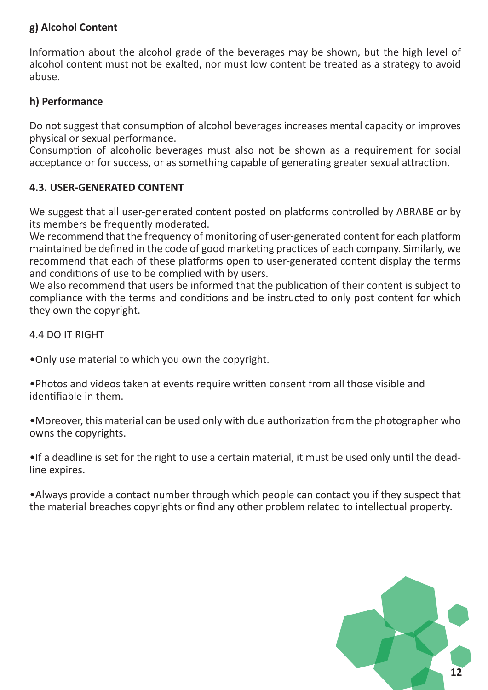# **g) Alcohol Content**

Information about the alcohol grade of the beverages may be shown, but the high level of alcohol content must not be exalted, nor must low content be treated as a strategy to avoid abuse.

# **h) Performance**

Do not suggest that consumption of alcohol beverages increases mental capacity or improves physical or sexual performance.

Consumption of alcoholic beverages must also not be shown as a requirement for social acceptance or for success, or as something capable of generating greater sexual attraction.

# **4.3. USER-GENERATED CONTENT**

We suggest that all user-generated content posted on platforms controlled by ABRABE or by its members be frequently moderated.

We recommend that the frequency of monitoring of user-generated content for each platform maintained be defined in the code of good marketing practices of each company. Similarly, we recommend that each of these platforms open to user-generated content display the terms and conditions of use to be complied with by users.

We also recommend that users be informed that the publication of their content is subject to compliance with the terms and conditions and be instructed to only post content for which they own the copyright.

4.4 DO IT RIGHT

•Only use material to which you own the copyright.

•Photos and videos taken at events require written consent from all those visible and identifiable in them.

•Moreover, this material can be used only with due authorization from the photographer who owns the copyrights.

•If a deadline is set for the right to use a certain material, it must be used only until the deadline expires.

•Always provide a contact number through which people can contact you if they suspect that the material breaches copyrights or find any other problem related to intellectual property.

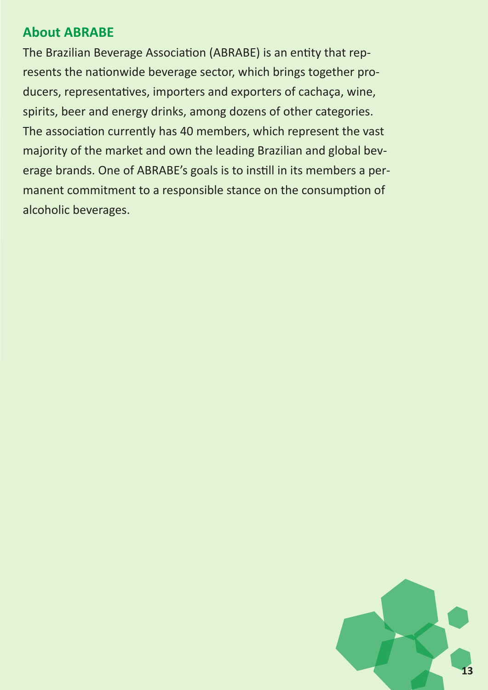# **About ABRABE**

The Brazilian Beverage Association (ABRABE) is an entity that represents the nationwide beverage sector, which brings together producers, representatives, importers and exporters of cachaça, wine, spirits, beer and energy drinks, among dozens of other categories. The association currently has 40 members, which represent the vast majority of the market and own the leading Brazilian and global beverage brands. One of ABRABE's goals is to instill in its members a permanent commitment to a responsible stance on the consumption of alcoholic beverages.